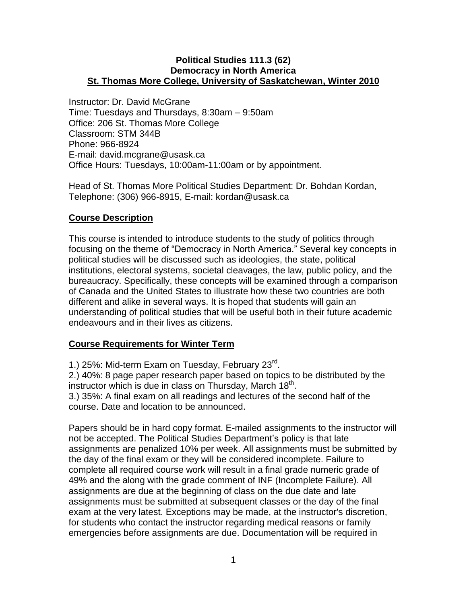#### **Political Studies 111.3 (62) Democracy in North America St. Thomas More College, University of Saskatchewan, Winter 2010**

Instructor: Dr. David McGrane Time: Tuesdays and Thursdays, 8:30am – 9:50am Office: 206 St. Thomas More College Classroom: STM 344B Phone: 966-8924 E-mail: david.mcgrane@usask.ca Office Hours: Tuesdays, 10:00am-11:00am or by appointment.

Head of St. Thomas More Political Studies Department: Dr. Bohdan Kordan, Telephone: (306) 966-8915, E-mail: kordan@usask.ca

## **Course Description**

This course is intended to introduce students to the study of politics through focusing on the theme of "Democracy in North America." Several key concepts in political studies will be discussed such as ideologies, the state, political institutions, electoral systems, societal cleavages, the law, public policy, and the bureaucracy. Specifically, these concepts will be examined through a comparison of Canada and the United States to illustrate how these two countries are both different and alike in several ways. It is hoped that students will gain an understanding of political studies that will be useful both in their future academic endeavours and in their lives as citizens.

### **Course Requirements for Winter Term**

1.) 25%: Mid-term Exam on Tuesday, February 23<sup>rd</sup>.

2.) 40%: 8 page paper research paper based on topics to be distributed by the instructor which is due in class on Thursday, March  $18<sup>th</sup>$ .

3.) 35%: A final exam on all readings and lectures of the second half of the course. Date and location to be announced.

Papers should be in hard copy format. E-mailed assignments to the instructor will not be accepted. The Political Studies Department's policy is that late assignments are penalized 10% per week. All assignments must be submitted by the day of the final exam or they will be considered incomplete. Failure to complete all required course work will result in a final grade numeric grade of 49% and the along with the grade comment of INF (Incomplete Failure). All assignments are due at the beginning of class on the due date and late assignments must be submitted at subsequent classes or the day of the final exam at the very latest. Exceptions may be made, at the instructor's discretion, for students who contact the instructor regarding medical reasons or family emergencies before assignments are due. Documentation will be required in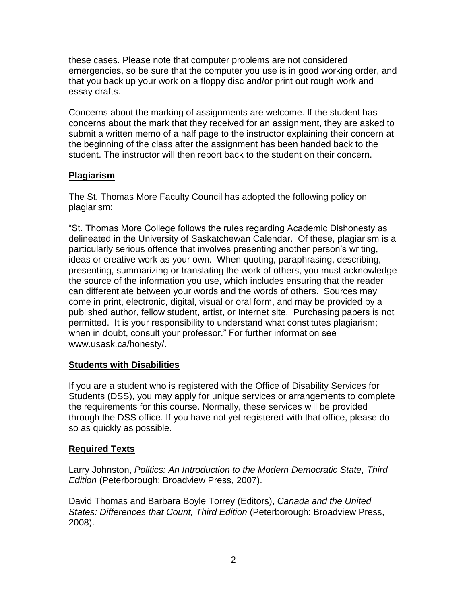these cases. Please note that computer problems are not considered emergencies, so be sure that the computer you use is in good working order, and that you back up your work on a floppy disc and/or print out rough work and essay drafts.

Concerns about the marking of assignments are welcome. If the student has concerns about the mark that they received for an assignment, they are asked to submit a written memo of a half page to the instructor explaining their concern at the beginning of the class after the assignment has been handed back to the student. The instructor will then report back to the student on their concern.

# **Plagiarism**

The St. Thomas More Faculty Council has adopted the following policy on plagiarism:

"St. Thomas More College follows the rules regarding Academic Dishonesty as delineated in the University of Saskatchewan Calendar. Of these, plagiarism is a particularly serious offence that involves presenting another person's writing, ideas or creative work as your own. When quoting, paraphrasing, describing, presenting, summarizing or translating the work of others, you must acknowledge the source of the information you use, which includes ensuring that the reader can differentiate between your words and the words of others. Sources may come in print, electronic, digital, visual or oral form, and may be provided by a published author, fellow student, artist, or Internet site. Purchasing papers is not permitted. It is your responsibility to understand what constitutes plagiarism; when in doubt, consult your professor." For further information see www.usask.ca/honesty/.

# **Students with Disabilities**

If you are a student who is registered with the Office of Disability Services for Students (DSS), you may apply for unique services or arrangements to complete the requirements for this course. Normally, these services will be provided through the DSS office. If you have not yet registered with that office, please do so as quickly as possible.

# **Required Texts**

Larry Johnston, *Politics: An Introduction to the Modern Democratic State, Third Edition* (Peterborough: Broadview Press, 2007).

David Thomas and Barbara Boyle Torrey (Editors), *Canada and the United States: Differences that Count, Third Edition* (Peterborough: Broadview Press, 2008).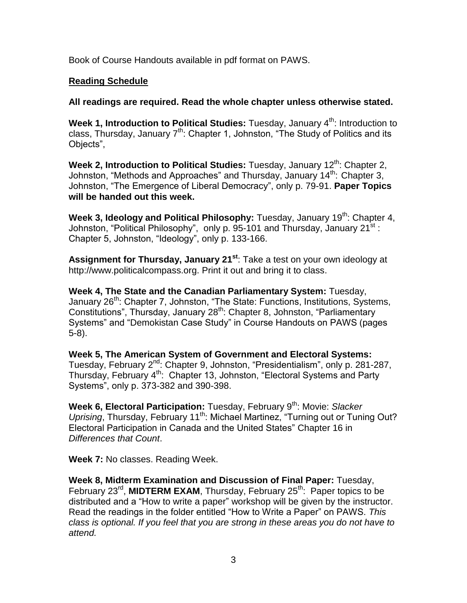Book of Course Handouts available in pdf format on PAWS.

# **Reading Schedule**

**All readings are required. Read the whole chapter unless otherwise stated.** 

**Week 1, Introduction to Political Studies:** Tuesday, January 4<sup>th</sup>: Introduction to class, Thursday, January  $7<sup>th</sup>$ : Chapter 1, Johnston, "The Study of Politics and its Objects",

Week 2, Introduction to Political Studies: Tuesday, January 12<sup>th</sup>: Chapter 2, Johnston, "Methods and Approaches" and Thursday, January 14<sup>th</sup>: Chapter 3, Johnston, "The Emergence of Liberal Democracy", only p. 79-91. **Paper Topics will be handed out this week.**

Week 3, Ideology and Political Philosophy: Tuesday, January 19<sup>th</sup>: Chapter 4, Johnston, "Political Philosophy", only p. 95-101 and Thursday, January  $21^{st}$ : Chapter 5, Johnston, "Ideology", only p. 133-166.

**Assignment for Thursday, January 21st**: Take a test on your own ideology at http://www.politicalcompass.org. Print it out and bring it to class.

**Week 4, The State and the Canadian Parliamentary System:** Tuesday, January 26<sup>th</sup>: Chapter 7, Johnston, "The State: Functions, Institutions, Systems, Constitutions", Thursday, January 28<sup>th</sup>: Chapter 8, Johnston, "Parliamentary Systems" and "Demokistan Case Study" in Course Handouts on PAWS (pages 5-8).

**Week 5, The American System of Government and Electoral Systems:** Tuesday, February 2<sup>nd</sup>: Chapter 9, Johnston, "Presidentialism", only p. 281-287, Thursday, February 4<sup>th</sup>: Chapter 13, Johnston, "Electoral Systems and Party Systems", only p. 373-382 and 390-398.

**Week 6, Electoral Participation:** Tuesday, February 9<sup>th</sup>: Movie: Slacker *Uprising*, Thursday, February 11<sup>th</sup>: Michael Martinez, "Turning out or Tuning Out? Electoral Participation in Canada and the United States" Chapter 16 in *Differences that Count*.

**Week 7:** No classes. Reading Week.

**Week 8, Midterm Examination and Discussion of Final Paper:** Tuesday, February 23<sup>rd</sup>, MIDTERM EXAM, Thursday, February 25<sup>th</sup>: Paper topics to be distributed and a "How to write a paper" workshop will be given by the instructor. Read the readings in the folder entitled "How to Write a Paper" on PAWS. *This class is optional. If you feel that you are strong in these areas you do not have to attend.*